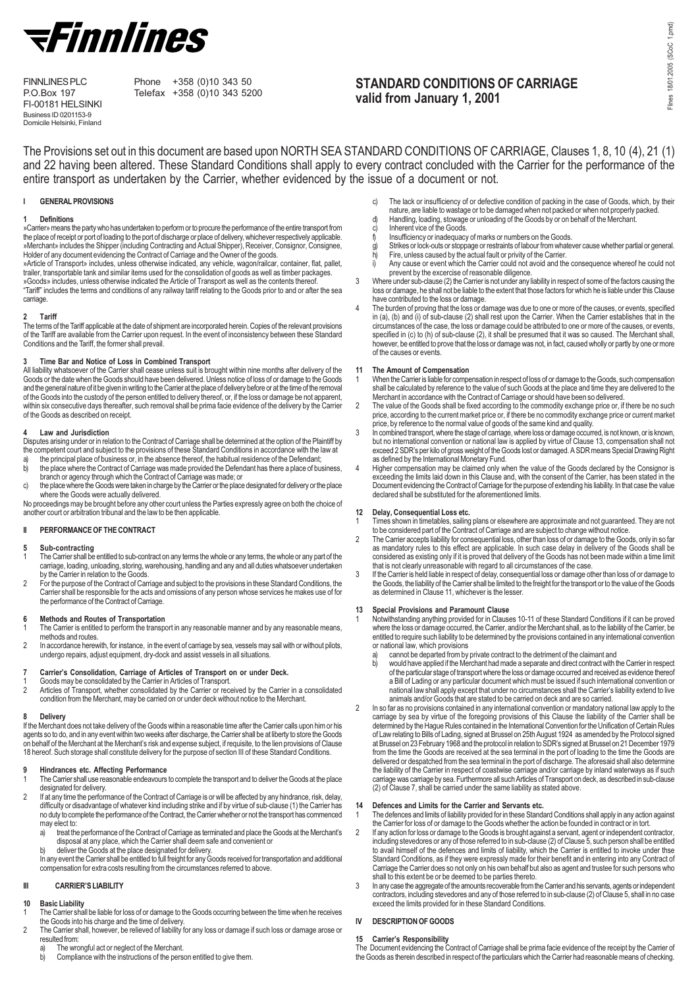

FI-00181 HELSINKI Business ID 0201153-9 Domicile Helsinki, Finland

FINNLINES PLC Phone +358 (0)10 343 50<br>P.O.Box 197 Telefax +358 (0)10 343 52 Telefax +358 (0)10 343 5200

# STANDARD CONDITIONS OF CARRIAGE valid from January 1, 2001

The Provisions set out in this document are based upon NORTH SEA STANDARD CONDITIONS OF CARRIAGE, Clauses 1, 8, 10 (4), 21 (1) and 22 having been altered. These Standard Conditions shall apply to every contract concluded with the Carrier for the performance of the entire transport as undertaken by the Carrier, whether evidenced by the issue of a document or not.

## **GENERAL PROVISIONS**

## 1 Definitions

»Carrier» means the party who has undertaken to perform or to procure the performance of the entire transport from the place of receipt or port of loading to the port of discharge or place of delivery, whichever respectively applicable. »Merchant» includes the Shipper (including Contracting and Actual Shipper), Receiver, Consignor, Consignee,<br>Holder of any document evidencing the Contract of Carriage and the Owner of the goods.<br>»Article of Transport» incl

trailer, transportable tank and similar items used for the consolidation of goods as well as timber packages. »Goods» includes, unless otherwise indicated the Article of Transport as well as the contents thereof. "Tariff" includes the terms and conditions of any railway tariff relating to the Goods prior to and or after the sea carriage.

## 2 Tariff

The terms of the Tariff applicable at the date of shipment are incorporated herein. Copies of the relevant provisions of the Tariff are available from the Carrier upon request. In the event of inconsistency between these Standard Conditions and the Tariff, the former shall prevail.

## 3 Time Bar and Notice of Loss in Combined Transport

All liability whatsoever of the Carrier shall cease unless suit is brought within nine months after delivery of the Goods or the date when the Goods should have been delivered. Unless notice of loss of or damage to the Goods and the general nature of it be given in writing to the Carrier at the place of delivery before or at the time of the removal of the Goods into the custody of the person entitled to delivery thereof, or, if the loss or damage be not apparent, within six consecutive days thereafter, such removal shall be prima facie evidence of the delivery by the Carrier of the Goods as described on receipt.

#### 4 Law and Jurisdiction

- Disputes arising under or in relation to the Contract of Carriage shall be determined at the option of the Plaintiff by
- the competent court and subject to the provisions of these Standard Conditions in accordance with the law at<br>a) the principal place of business or, in the absence thereof, the habitual residence of the Defendant;<br>b) the pl the principal place of business or, in the absence thereof, the habitual residence of the Defendant; b) the place where the Contract of Carriage was made provided the Defendant has there a place of business,
- branch or agency through which the Contract of Carriage was made; or c) the place where the Goods were taken in charge by the Carrier or the place designated for delivery or the place where the Goods were actually delivered.

No proceedings may be brought before any other court unless the Parties expressly agree on both the choice of another court or arbitration tribunal and the law to be then applicable.

## II PERFORMANCE OF THE CONTRACT

#### 5 Sub-contracting

- The Carrier shall be entitled to sub-contract on any terms the whole or any terms, the whole or any part of the carriage, loading, unloading, storing, warehousing, handling and any and all duties whatsoever undertaken by the Carrier in relation to the Goods.
- 2 For the purpose of the Contract of Carriage and subject to the provisions in these Standard Conditions, the Carrier shall be responsible for the acts and omissions of any person whose services he makes use of for the performance of the Contract of Carriage.

#### 6 Methods and Routes of Transportation

- The Carrier is entitled to perform the transport in any reasonable manner and by any reasonable means, methods and routes. 2 In accordance herewith, for instance, in the event of carriage by sea, vessels may sail with or without pilots,
- undergo repairs, adjust equipment, dry-dock and assist vessels in all situations.

## 7 Carrier's Consolidation, Carriage of Articles of Transport on or under Deck.

- 1 Goods may be consolidated by the Carrier in Articles of Transport.<br>2 Articles of Transport whether consolidated by the Carrier or rece
- Articles of Transport, whether consolidated by the Carrier or received by the Carrier in a consolidated condition from the Merchant, may be carried on or under deck without notice to the Merchant.

## 8 Delivery

If the Merchant does not take delivery of the Goods within a reasonable time after the Carrier calls upon him or his agents so to do, and in any event within two weeks after discharge, the Carrier shall be at liberty to store the Goods on behalf of the Merchant at the Merchant's risk and expense subject, if requisite, to the lien provisions of Clause 18 hereof. Such storage shall constitute delivery for the purpose of section III of these Standard Conditions.

## 9 Hindrances etc. Affecting Performance

- 1 The Carrier shall use reasonable endeavours to complete the transport and to deliver the Goods at the place designated for delivery.
- 2 If at any time the performance of the Contract of Carriage is or will be affected by any hindrance, risk, delay, difficulty or disadvantage of whatever kind including strike and if by virtue of sub-clause (1) the Carrier has no duty to complete the performance of the Contract, the Carrier whether or not the transport has commenced may elect to:
	- a) treat the performance of the Contract of Carriage as terminated and place the Goods at the Merchant's disposal at any place, which the Carrier shall deem safe and convenient or b) deliver the Goods at the place designated for delivery.
	-
	- In any event the Carrier shall be entitled to full freight for any Goods received for transportation and additional compensation for extra costs resulting from the circumstances referred to above.

## III CARRIER'S LIABILITY

#### 10 Basic Liability

- 1 The Carrier shall be liable for loss of or damage to the Goods occurring between the time when he receives the Goods into his charge and the time of delivery.
- 2 The Carrier shall, however, be relieved of liability for any loss or damage if such loss or damage arose or resulted from:
	- a) The wrongful act or neglect of the Merchant.<br>b) Compliance with the instructions of the pers
	- Compliance with the instructions of the person entitled to give them.
- c) The lack or insufficiency of or defective condition of packing in the case of Goods, which, by their nature, are liable to wastage or to be damaged when not packed or when not properly packed.
- d) Handling, loading, stowage or unloading of the Goods by or on behalf of the Merchant.
- c) Inherent vice of the Goods.<br>f) Insufficiency or inadequacy
- Insufficiency or inadequacy of marks or numbers on the Goods.
- g) Strikes or lock-outs or stoppage or restraints of labour from whatever cause whether partial or general.<br>b) Fire unless caused by the actual fault or privity of the Carrier
- h) Fire, unless caused by the actual fault or privity of the Carrier.<br>i) Any cause or event which the Carrier could not avoid and the Any cause or event which the Carrier could not avoid and the consequence whereof he could not
- prevent by the excercise of reasonable diligence. 3 Where under sub-clause (2) the Carrier is not under any liability in respect of some of the factors causing the loss or damage, he shall not be liable to the extent that those factors for which he is liable under this Clause have contributed to the loss or damage.
- 4 The burden of proving that the loss or damage was due to one or more of the causes, or events, specified in (a), (b) and (i) of sub-clause (2) shall rest upon the Carrier. When the Carrier establishes that in the circumstances of the case, the loss or damage could be attributed to one or more of the causes, or events, specified in (c) to (h) of sub-clause (2), it shall be presumed that it was so caused. The Merchant shall, however, be entitled to prove that the loss or damage was not, in fact, caused wholly or partly by one or more of the causes or events.

## 11 The Amount of Compensation

1 When the Carrier is liable for compensation in respect of loss of or damage to the Goods, such compensation shall be calculated by reference to the value of such Goods at the place and time they are delivered to the

- Merchant in accordance with the Contract of Carriage or should have been so delivered. 2 The value of the Goods shall be fixed according to the commodity exchange price or, if there be no such price, according to the current market price or, if there be no commodity exchange price or current market
- price, by reference to the normal value of goods of the same kind and quality.<br>In combined transport, where the stage of carriage, where loss or damage occurred, is not known, or is known,<br>but no international convention o exceed 2 SDR's per kilo of gross weight of the Goods lost or damaged. A SDR means Special Drawing Right as defined by the International Monetary Fund.
- 4 Higher compensation may be claimed only when the value of the Goods declared by the Consignor is exceeding the limits laid down in this Clause and, with the consent of the Carrier, has been stated in the Document evidencing the Contract of Carriage for the purpose of extending his liability. In that case the value declared shall be substituted for the aforementioned limits.

## 12 Delay, Consequential Loss etc.

1 Times shown in timetables, sailing plans or elsewhere are approximate and not guaranteed. They are not to be considered part of the Contract of Carriage and are subject to change without notice.

- 2 The Carrier accepts liability for consequential loss, other than loss of or damage to the Goods, only in so far as mandatory rules to this effect are applicable. In such case delay in delivery of the Goods shall be considered as existing only if it is proved that delivery of the Goods has not been made within a time limit that is not clearly unreasonable with regard to all circumstances of the case.
- If the Carrier is held liable in respect of delay, consequential loss or damage other than loss of or damage to<br>the Goods, the liability of the Carrier shall be limited to the freight for the transport or to the value of t as determined in Clause 11, whichever is the lesser.

## 13 Special Provisions and Paramount Clause

Notwithstanding anything provided for in Clauses 10-11 of these Standard Conditions if it can be proved where the loss or damage occurred, the Carrier, and/or the Merchant shall, as to the liability of the Carrier, be entitled to require such liability to be determined by the provisions contained in any international convention or national law, which provisions

- a) cannot be departed from by private contract to the detriment of the claimant and<br>b) would have applied if the Merchant had made a separate and direct contract with t
- would have applied if the Merchant had made a separate and direct contract with the Carrier in respect of the particular stage of transport where the loss or damage occurred and received as evidence thereof a Bill of Lading or any particular document which must be issued if such international convention or national law shall apply except that under no circumstances shall the Carrier's liability extend to live animals and/or Goods that are stated to be carried on deck and are so carried.
- 2 In so far as no provisions contained in any international convention or mandatory national law apply to the carriage by sea by virtue of the foregoing provisions of this Clause the liability of the Carrier shall be determined by the Hague Rules contained in the International Convention for the Unification of Certain Rules of Law relating to Bills of Lading, signed at Brussel on 25th August 1924 as amended by the Protocol signed at Brussel on 23 February 1968 and the protocol in relation to SDR's signed at Brussel on 21 December 1979 from the time the Goods are received at the sea terminal in the port of loading to the time the Goods are delivered or despatched from the sea terminal in the port of discharge. The aforesaid shall also determine the liability of the Carrier in respect of coastwise carriage and/or carriage by inland waterways as if such carriage was carriage by sea. Furthermore all such Articles of Transport on deck, as described in sub-clause (2) of Clause 7, shall be carried under the same liability as stated above.

14 Defences and Limits for the Carrier and Servants etc. 1 The defences and limits of liability provided for in these Standard Conditions shall apply in any action against the Carrier for loss of or damage to the Goods whether the action be founded in contract or in tort.

- 2 If any action for loss or damage to the Goods is brought against a servant, agent or independent contractor, including stevedores or any of those referred to in sub-clause (2) of Clause 5, such person shall be entitled to avail himself of the defences and limits of liability, which the Carrier is entitled to invoke under thse Standard Conditions, as if they were expressly made for their benefit and in entering into any Contract of Carriage the Carrier does so not only on his own behalf but also as agent and trustee for such persons who shall to this extent be or be deemed to be parties thereto.
- 3 In any case the aggregate of the amounts recoverable from the Carrier and his servants, agents or independent contractors, including stevedores and any of those referred to in sub-clause (2) of Clause 5, shall in no case exceed the limits provided for in these Standard Conditions.

## IV DESCRIPTION OF GOODS

## 15 Carrier's Responsibility

The Document evidencing the Contract of Carriage shall be prima facie evidence of the receipt by the Carrier of the Goods as therein described in respect of the particulars which the Carrier had reasonable means of checking.